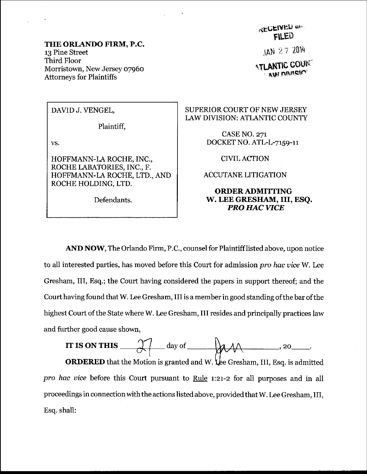## THE ORLANDO FIRM, P.C. 13 Pine Street Third Floor Morristown, New Jersey o796o Attorneys for Plaintiffs

## DAVIDJ.VENGEL,

Plaintiff,

vs.

HOFFMANN-LA ROCHE, INC., ROCHE LABATORIES, INC., F. HOFFMANN-LA ROCHE, LTD., AND ROCHE HOLDING, LTD.

Defendants.

**RECEIVED** and FLED

JAN 27 2014

 $\Lambda$ tlantic coun $^{\circ}$ **AND DIVISION** 

## SUPERIOR COURT OF NEW JERSEY LAW DIVISION: ATLANTIC COUNTY

CASE NO. 271 DOCKET NO. ATL-L-7159-11

CIVIL ACTION

ACCUTANE LITIGATION

## ORDERADMITTING W. LEE GRESHAM, III, ESO. PRO HAC VICE

AND NOW, The Orlando Firm, P.C., counsel for Plaintiff listed above, upon notice to all interested parties, has moved before this Court for admission pro hac vice W. Lee Gresham, III, Esq.; the Court having considered the papers in support thereof; and the Court having found that W. Lee Gresham, III is a member in good standing ofthe bar of the highest Court of the State where W. Lee Gresham, III resides and principally practices law and further good cause shown,



**ORDERED** that the Motion is granted and W. Lee Gresham, III, Esq. is admitted pro hac vice before this Court pursuant to Rule  $1:21-2$  for all purposes and in all proceedings in connection with the actions listed above, provided that W. Lee Gresham, III, Esq. shall: